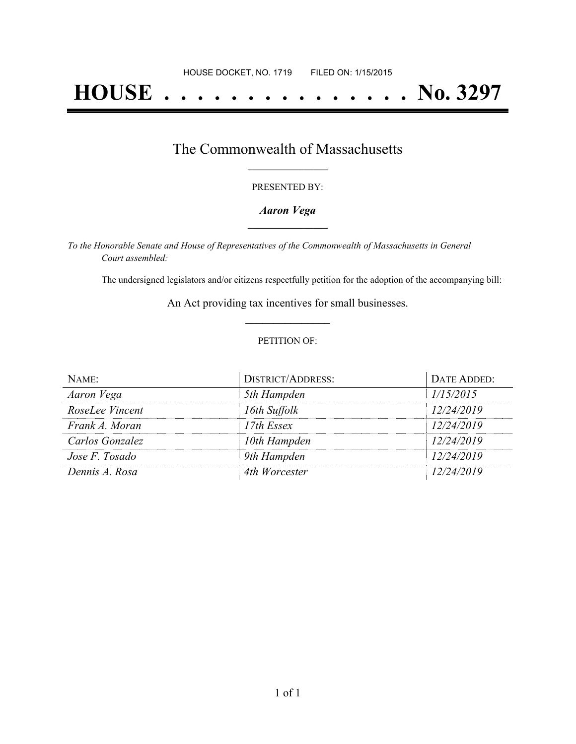# **HOUSE . . . . . . . . . . . . . . . No. 3297**

### The Commonwealth of Massachusetts **\_\_\_\_\_\_\_\_\_\_\_\_\_\_\_\_\_**

#### PRESENTED BY:

#### *Aaron Vega* **\_\_\_\_\_\_\_\_\_\_\_\_\_\_\_\_\_**

*To the Honorable Senate and House of Representatives of the Commonwealth of Massachusetts in General Court assembled:*

The undersigned legislators and/or citizens respectfully petition for the adoption of the accompanying bill:

An Act providing tax incentives for small businesses. **\_\_\_\_\_\_\_\_\_\_\_\_\_\_\_**

#### PETITION OF:

| NAME:           | <b>DISTRICT/ADDRESS:</b> | DATE ADDED: |
|-----------------|--------------------------|-------------|
| Aaron Vega      | 5th Hampden              | 1/15/2015   |
| RoseLee Vincent | 16th Suffolk             | 12/24/2019  |
| Frank A. Moran  | $17th$ Essex             | 12/24/2019  |
| Carlos Gonzalez | 10th Hampden             | 12/24/2019  |
| Jose F. Tosado  | 9th Hampden              | 12/24/2019  |
| Dennis A. Rosa  | 4th Worcester            | 12/24/2019  |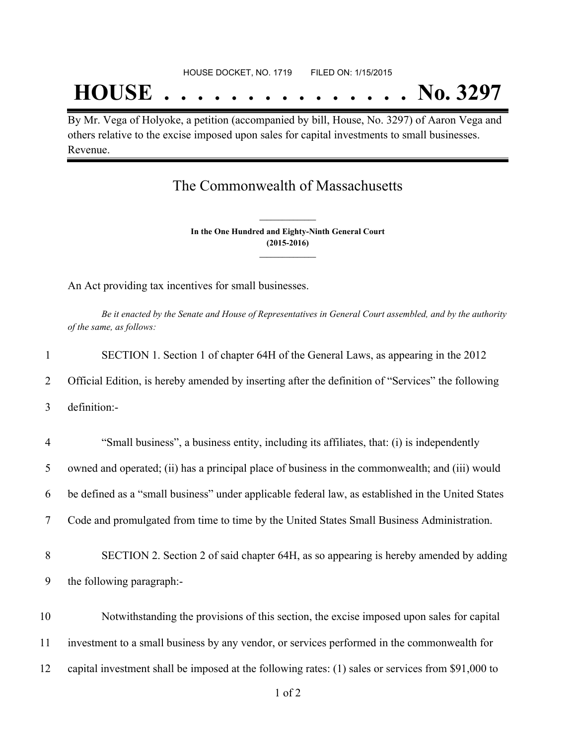## **HOUSE . . . . . . . . . . . . . . . No. 3297**

By Mr. Vega of Holyoke, a petition (accompanied by bill, House, No. 3297) of Aaron Vega and others relative to the excise imposed upon sales for capital investments to small businesses. Revenue.

## The Commonwealth of Massachusetts

**In the One Hundred and Eighty-Ninth General Court (2015-2016) \_\_\_\_\_\_\_\_\_\_\_\_\_\_\_**

**\_\_\_\_\_\_\_\_\_\_\_\_\_\_\_**

An Act providing tax incentives for small businesses.

Be it enacted by the Senate and House of Representatives in General Court assembled, and by the authority *of the same, as follows:*

| $\mathbf{1}$   | SECTION 1. Section 1 of chapter 64H of the General Laws, as appearing in the 2012                  |
|----------------|----------------------------------------------------------------------------------------------------|
| $\overline{2}$ | Official Edition, is hereby amended by inserting after the definition of "Services" the following  |
| 3              | definition:-                                                                                       |
| $\overline{4}$ | "Small business", a business entity, including its affiliates, that: (i) is independently          |
| 5              | owned and operated; (ii) has a principal place of business in the commonwealth; and (iii) would    |
| 6              | be defined as a "small business" under applicable federal law, as established in the United States |
| 7              | Code and promulgated from time to time by the United States Small Business Administration.         |
| 8              | SECTION 2. Section 2 of said chapter 64H, as so appearing is hereby amended by adding              |
| 9              | the following paragraph:-                                                                          |
| 10             | Notwithstanding the provisions of this section, the excise imposed upon sales for capital          |
| 11             | investment to a small business by any vendor, or services performed in the commonwealth for        |
| 12             | capital investment shall be imposed at the following rates: (1) sales or services from \$91,000 to |
|                |                                                                                                    |